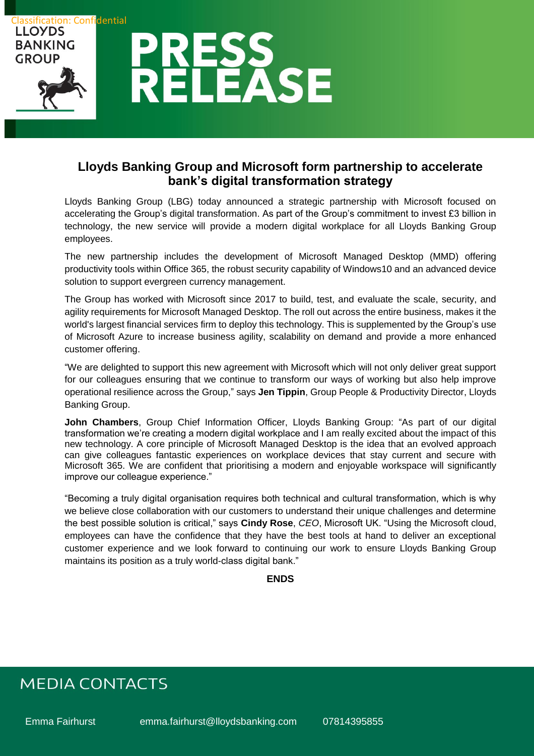

### **Lloyds Banking Group and Microsoft form partnership to accelerate bank's digital transformation strategy**

Lloyds Banking Group (LBG) today announced a strategic partnership with Microsoft focused on accelerating the Group's digital transformation. As part of the Group's commitment to invest £3 billion in technology, the new service will provide a modern digital workplace for all Lloyds Banking Group employees.

The new partnership includes the development of Microsoft Managed Desktop (MMD) offering productivity tools within Office 365, the robust security capability of Windows10 and an advanced device solution to support evergreen currency management.

The Group has worked with Microsoft since 2017 to build, test, and evaluate the scale, security, and agility requirements for Microsoft Managed Desktop. The roll out across the entire business, makes it the world's largest financial services firm to deploy this technology. This is supplemented by the Group's use of Microsoft Azure to increase business agility, scalability on demand and provide a more enhanced customer offering.

"We are delighted to support this new agreement with Microsoft which will not only deliver great support for our colleagues ensuring that we continue to transform our ways of working but also help improve operational resilience across the Group," says **Jen Tippin**, Group People & Productivity Director, Lloyds Banking Group.

**John Chambers**, Group Chief Information Officer, Lloyds Banking Group: "As part of our digital transformation we're creating a modern digital workplace and I am really excited about the impact of this new technology. A core principle of Microsoft Managed Desktop is the idea that an evolved approach can give colleagues fantastic experiences on workplace devices that stay current and secure with Microsoft 365. We are confident that prioritising a modern and enjoyable workspace will significantly improve our colleague experience."

"Becoming a truly digital organisation requires both technical and cultural transformation, which is why we believe close collaboration with our customers to understand their unique challenges and determine the best possible solution is critical," says **Cindy Rose**, *CEO*, Microsoft UK. "Using the Microsoft cloud, employees can have the confidence that they have the best tools at hand to deliver an exceptional customer experience and we look forward to continuing our work to ensure Lloyds Banking Group maintains its position as a truly world-class digital bank."

### **ENDS**

# **MEDIA CONTACTS**